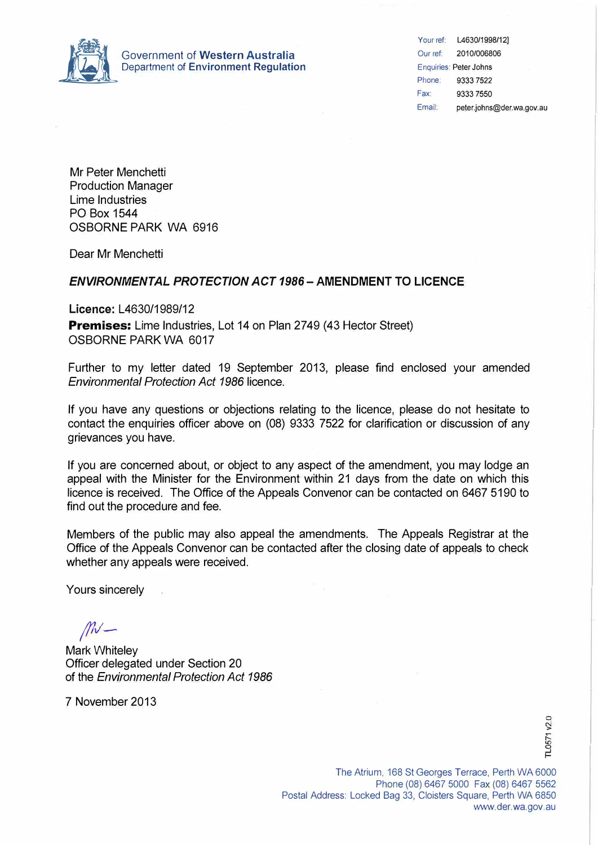

� � Government of **Western Australia** Department of **Environment Regulation**

| Your ref: | L4630/1998/12]                |
|-----------|-------------------------------|
| Our ref:  | 2010/006806                   |
|           | <b>Enquiries: Peter Johns</b> |
| Phone:    | 93337522                      |
| Fax:      | 9333 7550                     |
| Email:    | peter.johns@der.wa.gov.au     |

Mr Peter Menchetti Production Manager Lime Industries PO Box 1544 OSBORNE PARK WA 6916

Dear Mr Menchetti

# *ENVIRONMENTAL PROTECTION ACT* **1986-AMENDMENT TO LICENCE**

### **Licence:** L4630/1989/12

**Premises:** Lime Industries, Lot 14 on Plan 2749 (43 Hector Street) OSBORNE PARK WA 6017

Further to my letter dated 19 September 2013, please find enclosed your amended *Environmental Protection Act 1986* licence.

If you have any questions or objections relating to the licence, please do not hesitate to contact the enquiries officer above on (08) 9333 7522 for clarification or discussion of any grievances you have.

If you are concerned about, or object to any aspect of the amendment, you may lodge an appeal with the Minister for the Environment within 21 days from the date on which this licence is received. The Office of the Appeals Convenor can be contacted on 6467 5190 to find out the procedure and fee.

Members of the public may also appeal the amendments. The Appeals Registrar at the Office of the Appeals Convenor can be contacted after the closing date of appeals to check whether any appeals were received.

Yours sincerely

*(!I/-*

Mark Whiteley Officer delegated under Section 20 of the *Environmental Protection Act 1986*

7 November 2013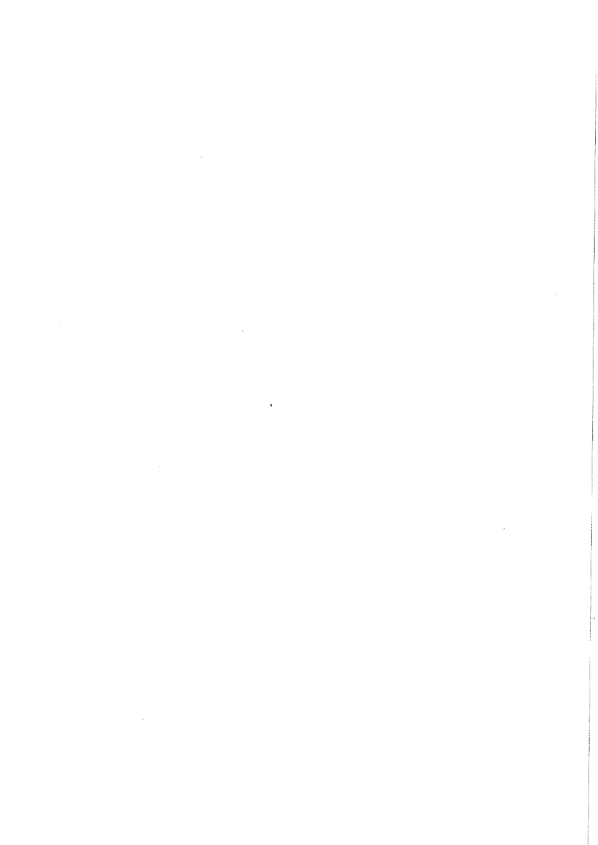$\mathcal{L}^{\text{max}}_{\text{max}}$  and  $\mathcal{L}^{\text{max}}_{\text{max}}$  $\mathcal{L}^{\text{max}}(\mathbf{r})$  .  $\sim 10^7$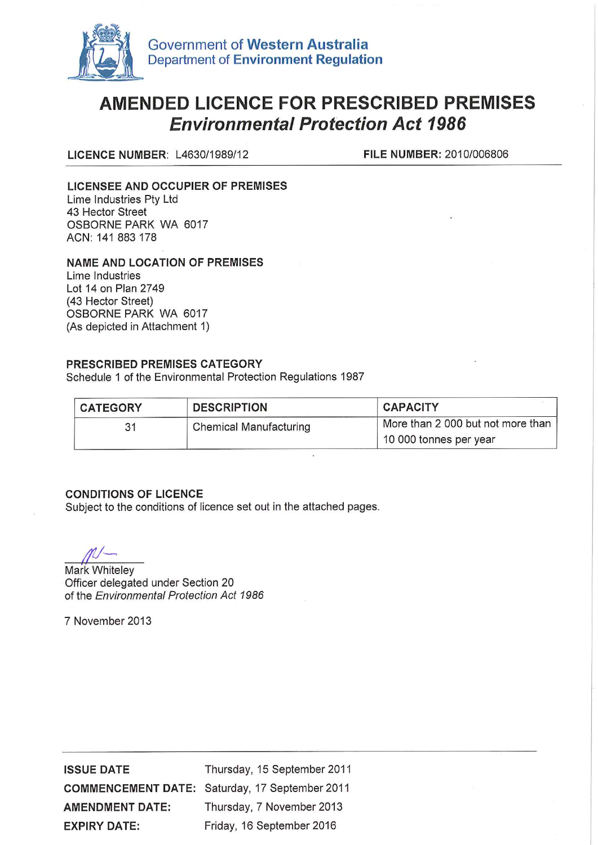

# **AMENDED LICENCE FOR PRESCRIBED PREMISES Environmental Protection Act 1986**

LICENCE NUMBER: L4630/1989/12

FILE NUMBER: 2010/006806

# LICENSEE AND OCCUPIER OF PREMISES

Lime Industries Pty Ltd 43 Hector Street OSBORNE PARK WA 6017 ACN: 141 883 178

# **NAME AND LOCATION OF PREMISES**

Lime Industries Lot 14 on Plan 2749 (43 Hector Street) OSBORNE PARK WA 6017 (As depicted in Attachment 1)

### **PRESCRIBED PREMISES CATEGORY**

Schedule 1 of the Environmental Protection Regulations 1987

| <b>CATEGORY</b> | <b>DESCRIPTION</b>            | <b>CAPACITY</b>                   |
|-----------------|-------------------------------|-----------------------------------|
| 31              | <b>Chemical Manufacturing</b> | More than 2 000 but not more than |
|                 |                               | 10 000 tonnes per year            |

# **CONDITIONS OF LICENCE**

Subject to the conditions of licence set out in the attached pages.

Mark Whiteley Officer delegated under Section 20 of the Environmental Protection Act 1986

7 November 2013

| <b>ISSUE DATE</b>      | Thursday, 15 September 2011                           |
|------------------------|-------------------------------------------------------|
|                        | <b>COMMENCEMENT DATE:</b> Saturday, 17 September 2011 |
| <b>AMENDMENT DATE:</b> | Thursday, 7 November 2013                             |
| <b>EXPIRY DATE:</b>    | Friday, 16 September 2016                             |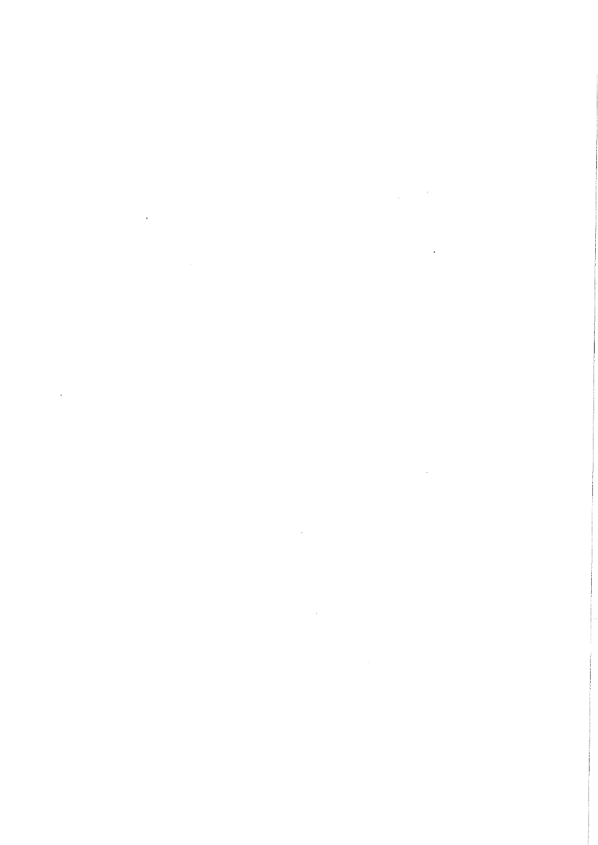$\label{eq:2.1} \frac{1}{\sqrt{2\pi}}\int_{\mathbb{R}^3}\frac{1}{\sqrt{2\pi}}\int_{\mathbb{R}^3}\frac{1}{\sqrt{2\pi}}\int_{\mathbb{R}^3}\frac{1}{\sqrt{2\pi}}\int_{\mathbb{R}^3}\frac{1}{\sqrt{2\pi}}\int_{\mathbb{R}^3}\frac{1}{\sqrt{2\pi}}\int_{\mathbb{R}^3}\frac{1}{\sqrt{2\pi}}\int_{\mathbb{R}^3}\frac{1}{\sqrt{2\pi}}\int_{\mathbb{R}^3}\frac{1}{\sqrt{2\pi}}\int_{\mathbb{R}^3}\frac{1$  $\mathcal{L}^{\text{max}}_{\text{max}}$  and  $\mathcal{L}^{\text{max}}_{\text{max}}$ 

 $\label{eq:2} \frac{1}{2} \int_{\mathbb{R}^3} \frac{1}{\sqrt{2}} \, \mathrm{d} \mu \, \mathrm{d} \mu \, \mathrm{d} \mu \, \mathrm{d} \mu \, \mathrm{d} \mu \, \mathrm{d} \mu \, \mathrm{d} \mu \, \mathrm{d} \mu \, \mathrm{d} \mu \, \mathrm{d} \mu \, \mathrm{d} \mu \, \mathrm{d} \mu \, \mathrm{d} \mu \, \mathrm{d} \mu \, \mathrm{d} \mu \, \mathrm{d} \mu \, \mathrm{d} \mu \, \mathrm{d} \mu \, \mathrm{d} \mu \, \mathrm{d} \mu \, \mathrm$  $\label{eq:2.1} \frac{1}{\sqrt{2}}\int_{0}^{\infty}\frac{1}{\sqrt{2\pi}}\left(\frac{1}{\sqrt{2\pi}}\right)^{2\alpha} \frac{1}{\sqrt{2\pi}}\int_{0}^{\infty}\frac{1}{\sqrt{2\pi}}\left(\frac{1}{\sqrt{2\pi}}\right)^{\alpha} \frac{1}{\sqrt{2\pi}}\frac{1}{\sqrt{2\pi}}\int_{0}^{\infty}\frac{1}{\sqrt{2\pi}}\frac{1}{\sqrt{2\pi}}\frac{1}{\sqrt{2\pi}}\frac{1}{\sqrt{2\pi}}\frac{1}{\sqrt{2\pi}}\frac{1}{\sqrt{2\pi}}$ 

 $\sim 0.01$  and  $\sim 10$ 

 $\label{eq:2.1} \frac{1}{\sqrt{2}}\left(\frac{1}{\sqrt{2}}\right)^{2} \left(\frac{1}{\sqrt{2}}\right)^{2} \left(\frac{1}{\sqrt{2}}\right)^{2} \left(\frac{1}{\sqrt{2}}\right)^{2} \left(\frac{1}{\sqrt{2}}\right)^{2} \left(\frac{1}{\sqrt{2}}\right)^{2} \left(\frac{1}{\sqrt{2}}\right)^{2} \left(\frac{1}{\sqrt{2}}\right)^{2} \left(\frac{1}{\sqrt{2}}\right)^{2} \left(\frac{1}{\sqrt{2}}\right)^{2} \left(\frac{1}{\sqrt{2}}\right)^{2} \left(\$  $\label{eq:2.1} \frac{1}{\sqrt{2}}\int_{\mathbb{R}^3}\frac{1}{\sqrt{2}}\left(\frac{1}{\sqrt{2}}\right)^2\frac{1}{\sqrt{2}}\left(\frac{1}{\sqrt{2}}\right)^2\frac{1}{\sqrt{2}}\left(\frac{1}{\sqrt{2}}\right)^2.$ 

 $\label{eq:2.1} \mathcal{L}(\mathcal{L}^{\text{max}}_{\mathcal{L}}(\mathcal{L}^{\text{max}}_{\mathcal{L}})) \leq \mathcal{L}(\mathcal{L}^{\text{max}}_{\mathcal{L}}(\mathcal{L}^{\text{max}}_{\mathcal{L}}))$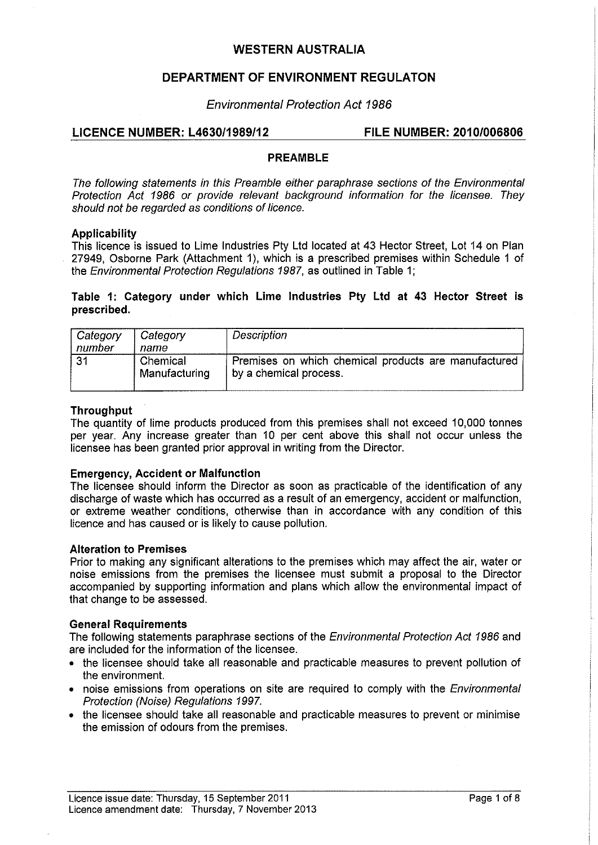# DEPARTMENT OF ENVIRONMENT REGULATON

# **Environmental Protection Act 1986**

#### **LICENCE NUMBER: L4630/1989/12**

#### **FILE NUMBER: 2010/006806**

#### **PREAMBLE**

The following statements in this Preamble either paraphrase sections of the Environmental Protection Act 1986 or provide relevant background information for the licensee. They should not be regarded as conditions of licence.

#### **Applicability**

This licence is issued to Lime Industries Pty Ltd located at 43 Hector Street, Lot 14 on Plan 27949, Osborne Park (Attachment 1), which is a prescribed premises within Schedule 1 of the Environmental Protection Regulations 1987, as outlined in Table 1:

# Table 1: Category under which Lime Industries Pty Ltd at 43 Hector Street is prescribed.

| Category<br>number | Category<br>name          | Description                                                                    |
|--------------------|---------------------------|--------------------------------------------------------------------------------|
| 3 <sup>1</sup>     | Chemical<br>Manufacturing | Premises on which chemical products are manufactured<br>by a chemical process. |

#### **Throughput**

The quantity of lime products produced from this premises shall not exceed 10,000 tonnes per year. Any increase greater than 10 per cent above this shall not occur unless the licensee has been granted prior approval in writing from the Director.

#### **Emergency, Accident or Malfunction**

The licensee should inform the Director as soon as practicable of the identification of any discharge of waste which has occurred as a result of an emergency, accident or malfunction, or extreme weather conditions, otherwise than in accordance with any condition of this licence and has caused or is likely to cause pollution.

#### **Alteration to Premises**

Prior to making any significant alterations to the premises which may affect the air, water or noise emissions from the premises the licensee must submit a proposal to the Director accompanied by supporting information and plans which allow the environmental impact of that change to be assessed.

#### **General Requirements**

The following statements paraphrase sections of the Environmental Protection Act 1986 and are included for the information of the licensee.

- the licensee should take all reasonable and practicable measures to prevent pollution of the environment.
- noise emissions from operations on site are required to comply with the *Environmental* Protection (Noise) Regulations 1997.
- the licensee should take all reasonable and practicable measures to prevent or minimise the emission of odours from the premises.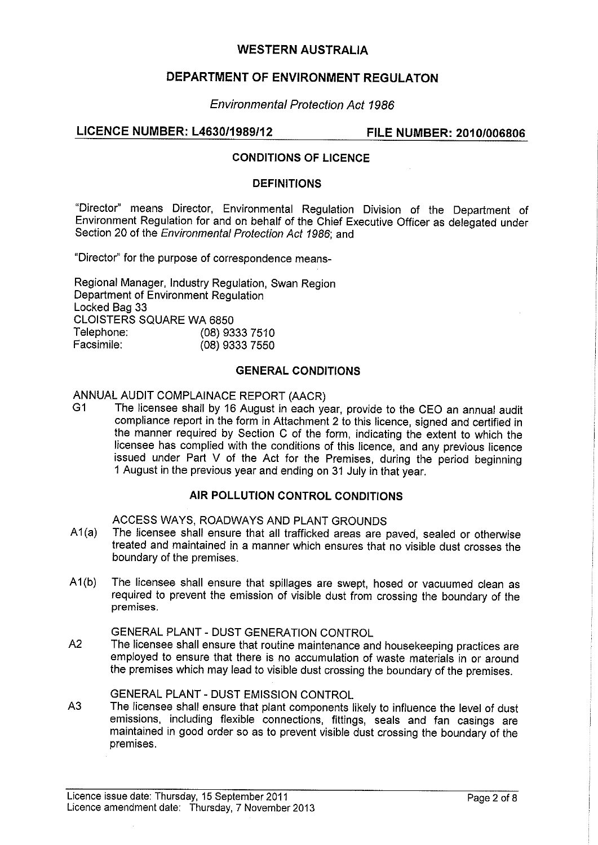# DEPARTMENT OF ENVIRONMENT REGULATON

**Environmental Protection Act 1986** 

### LICENCE NUMBER: L4630/1989/12

#### **FILE NUMBER: 2010/006806**

#### **CONDITIONS OF LICENCE**

#### **DEFINITIONS**

"Director" means Director, Environmental Regulation Division of the Department of Environment Regulation for and on behalf of the Chief Executive Officer as delegated under Section 20 of the Environmental Protection Act 1986; and

"Director" for the purpose of correspondence means-

Regional Manager, Industry Regulation, Swan Region Department of Environment Regulation Locked Bag 33 **CLOISTERS SQUARE WA 6850** Telephone: (08) 9333 7510 Facsimile: (08) 9333 7550

#### **GENERAL CONDITIONS**

# ANNUAL AUDIT COMPLAINACE REPORT (AACR)

 $G1$ The licensee shall by 16 August in each year, provide to the CEO an annual audit compliance report in the form in Attachment 2 to this licence, signed and certified in the manner required by Section C of the form, indicating the extent to which the licensee has complied with the conditions of this licence, and any previous licence issued under Part V of the Act for the Premises, during the period beginning 1 August in the previous year and ending on 31 July in that year.

# AIR POLLUTION CONTROL CONDITIONS

ACCESS WAYS, ROADWAYS AND PLANT GROUNDS

- The licensee shall ensure that all trafficked areas are paved, sealed or otherwise  $A1(a)$ treated and maintained in a manner which ensures that no visible dust crosses the boundary of the premises.
- $A1(b)$ The licensee shall ensure that spillages are swept, hosed or vacuumed clean as required to prevent the emission of visible dust from crossing the boundary of the premises.

GENERAL PLANT - DUST GENERATION CONTROL

 $A2$ The licensee shall ensure that routine maintenance and housekeeping practices are employed to ensure that there is no accumulation of waste materials in or around the premises which may lead to visible dust crossing the boundary of the premises.

#### **GENERAL PLANT - DUST EMISSION CONTROL**

The licensee shall ensure that plant components likely to influence the level of dust  $A3$ emissions, including flexible connections, fittings, seals and fan casings are maintained in good order so as to prevent visible dust crossing the boundary of the premises.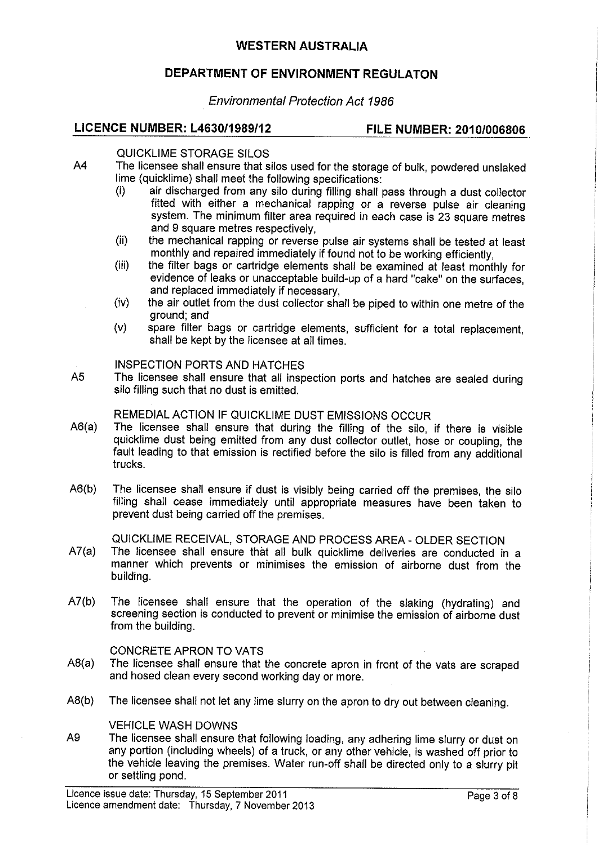# DEPARTMENT OF ENVIRONMENT REGULATON

# **Environmental Protection Act 1986**

# **LICENCE NUMBER: L4630/1989/12**

# **FILE NUMBER: 2010/006806**

# QUICKLIME STORAGE SILOS

- The licensee shall ensure that silos used for the storage of bulk, powdered unslaked  $A<sub>4</sub>$ lime (quicklime) shall meet the following specifications:
	- air discharged from any silo during filling shall pass through a dust collector  $(i)$ fitted with either a mechanical rapping or a reverse pulse air cleaning system. The minimum filter area required in each case is 23 square metres and 9 square metres respectively.
	- $(ii)$ the mechanical rapping or reverse pulse air systems shall be tested at least monthly and repaired immediately if found not to be working efficiently,
	- $(iii)$ the filter bags or cartridge elements shall be examined at least monthly for evidence of leaks or unacceptable build-up of a hard "cake" on the surfaces, and replaced immediately if necessary,
	- the air outlet from the dust collector shall be piped to within one metre of the  $(iv)$ around: and
	- $(v)$ spare filter bags or cartridge elements, sufficient for a total replacement, shall be kept by the licensee at all times.

### **INSPECTION PORTS AND HATCHES**

A<sub>5</sub> The licensee shall ensure that all inspection ports and hatches are sealed during silo filling such that no dust is emitted.

# REMEDIAL ACTION IF QUICKLIME DUST EMISSIONS OCCUR

- $A6(a)$ The licensee shall ensure that during the filling of the silo, if there is visible quicklime dust being emitted from any dust collector outlet, hose or coupling, the fault leading to that emission is rectified before the silo is filled from any additional trucks.
- $A6(b)$ The licensee shall ensure if dust is visibly being carried off the premises, the silo filling shall cease immediately until appropriate measures have been taken to prevent dust being carried off the premises.

QUICKLIME RECEIVAL, STORAGE AND PROCESS AREA - OLDER SECTION

- The licensee shall ensure that all bulk quicklime deliveries are conducted in a  $A7(a)$ manner which prevents or minimises the emission of airborne dust from the building.
- $A7(b)$ The licensee shall ensure that the operation of the slaking (hydrating) and screening section is conducted to prevent or minimise the emission of airborne dust from the building.

#### **CONCRETE APRON TO VATS**

- The licensee shall ensure that the concrete apron in front of the vats are scraped  $A8(a)$ and hosed clean every second working day or more.
- $A8(b)$ The licensee shall not let any lime slurry on the apron to dry out between cleaning.

# **VEHICLE WASH DOWNS**

The licensee shall ensure that following loading, any adhering lime slurry or dust on A<sub>9</sub> any portion (including wheels) of a truck, or any other vehicle, is washed off prior to the vehicle leaving the premises. Water run-off shall be directed only to a slurry pit or settling pond.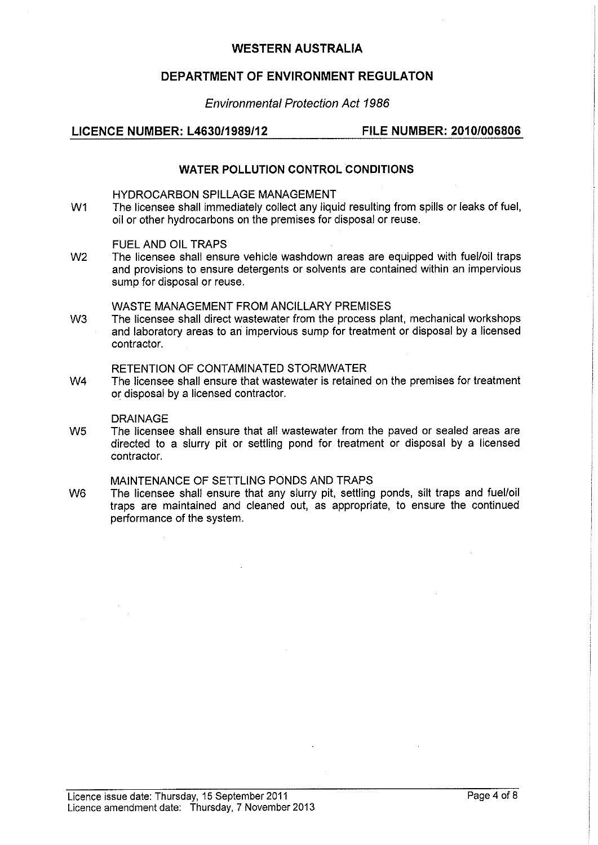# DEPARTMENT OF ENVIRONMENT REGULATON

#### **Environmental Protection Act 1986**

#### **LICENCE NUMBER: L4630/1989/12**

# FILE NUMBER: 2010/006806

#### **WATER POLLUTION CONTROL CONDITIONS**

HYDROCARBON SPILLAGE MANAGEMENT

The licensee shall immediately collect any liquid resulting from spills or leaks of fuel,  $W1$ oil or other hydrocarbons on the premises for disposal or reuse.

#### **FUEL AND OIL TRAPS**

The licensee shall ensure vehicle washdown areas are equipped with fuel/oil traps  $W<sub>2</sub>$ and provisions to ensure detergents or solvents are contained within an impervious sump for disposal or reuse.

#### WASTE MANAGEMENT FROM ANCILLARY PREMISES

W<sub>3</sub> The licensee shall direct wastewater from the process plant, mechanical workshops and laboratory areas to an impervious sump for treatment or disposal by a licensed contractor.

# RETENTION OF CONTAMINATED STORMWATER

W4 The licensee shall ensure that wastewater is retained on the premises for treatment or disposal by a licensed contractor.

#### **DRAINAGE**

W<sub>5</sub> The licensee shall ensure that all wastewater from the paved or sealed areas are directed to a slurry pit or settling pond for treatment or disposal by a licensed contractor.

# MAINTENANCE OF SETTLING PONDS AND TRAPS

W<sub>6</sub> The licensee shall ensure that any slurry pit, settling ponds, silt traps and fuel/oil traps are maintained and cleaned out, as appropriate, to ensure the continued performance of the system.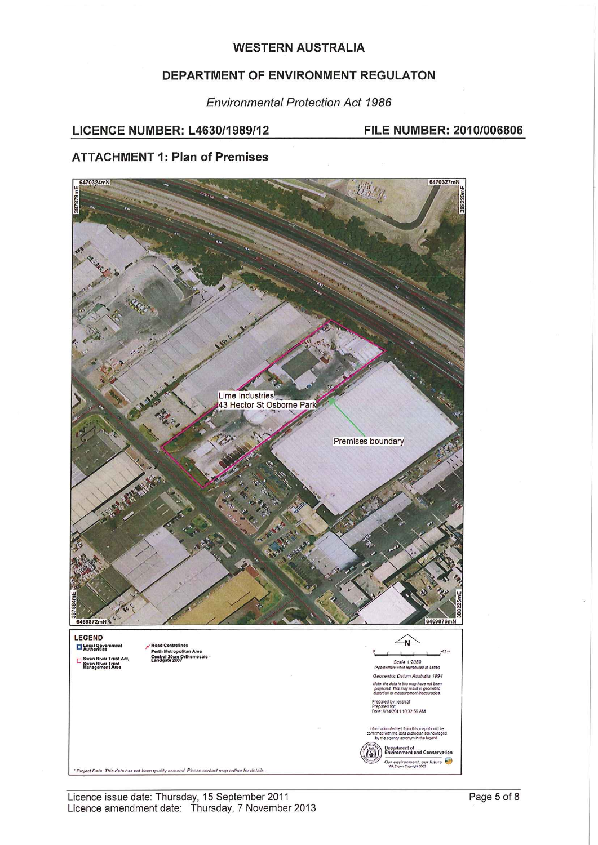# DEPARTMENT OF ENVIRONMENT REGULATON

# **Environmental Protection Act 1986**

# **LICENCE NUMBER: L4630/1989/12**

# **FILE NUMBER: 2010/006806**

# **ATTACHMENT 1: Plan of Premises**

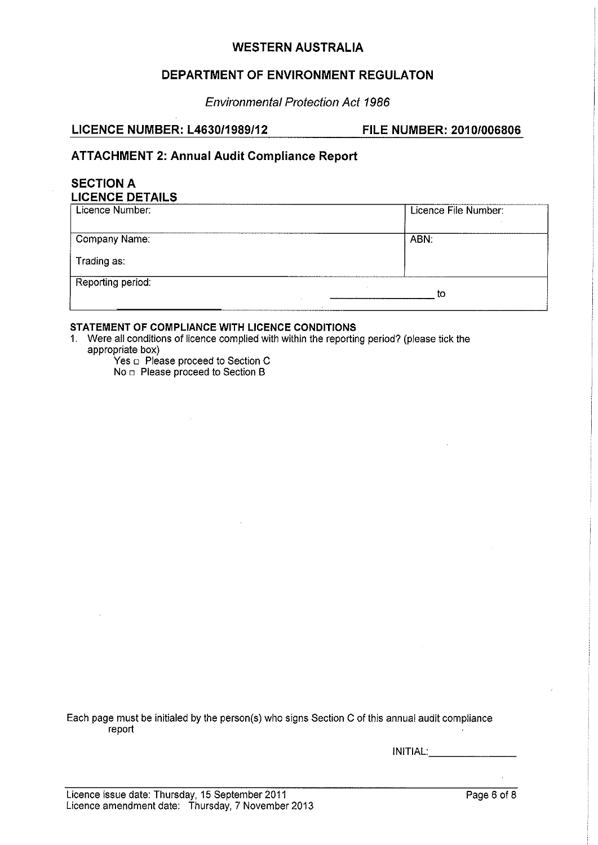# DEPARTMENT OF ENVIRONMENT REGULATON

**Environmental Protection Act 1986** 

# **LICENCE NUMBER: L4630/1989/12**

# **FILE NUMBER: 2010/006806**

# **ATTACHMENT 2: Annual Audit Compliance Report**

#### **SECTION A LICENCE DETAILS**

| Licence Number:   | Licence File Number: |
|-------------------|----------------------|
| Company Name:     | ABN:                 |
| Trading as:       |                      |
| Reporting period: | to                   |

#### STATEMENT OF COMPLIANCE WITH LICENCE CONDITIONS

1. Were all conditions of licence complied with within the reporting period? (please tick the appropriate box)<br>
Yes  $\Box$  Please proceed to Section C

 $No \square$  Please proceed to Section B

Each page must be initialed by the person(s) who signs Section C of this annual audit compliance report

INITIAL: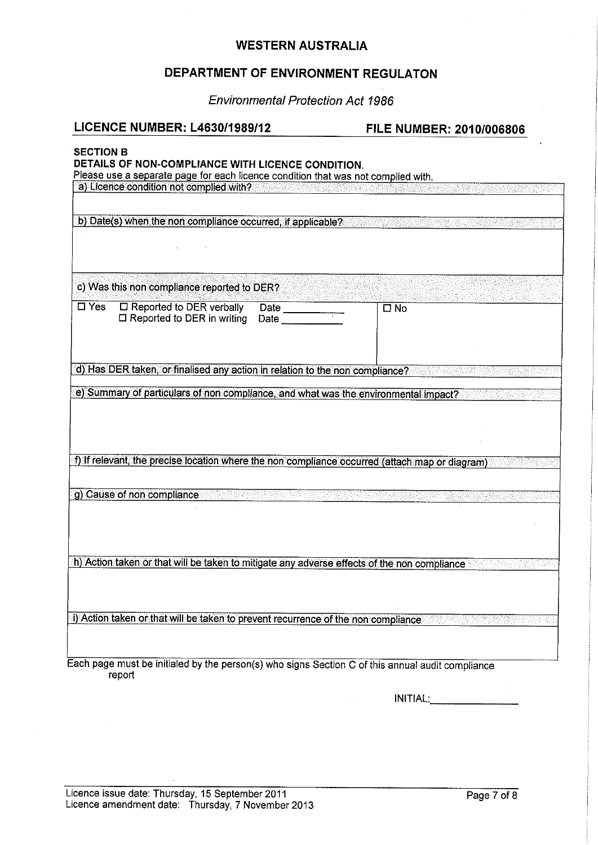# DEPARTMENT OF ENVIRONMENT REGULATON

# **Environmental Protection Act 1986**

# **LICENCE NUMBER: L4630/1989/12**

# **FILE NUMBER: 2010/006806**

| <b>SECTION B</b>                                                                                                                       |  |
|----------------------------------------------------------------------------------------------------------------------------------------|--|
| DETAILS OF NON-COMPLIANCE WITH LICENCE CONDITION.<br>Please use a separate page for each licence condition that was not complied with. |  |
| a) Licence condition not complied with?                                                                                                |  |
|                                                                                                                                        |  |
|                                                                                                                                        |  |
| b) Date(s) when the non compliance occurred, if applicable?                                                                            |  |
|                                                                                                                                        |  |
|                                                                                                                                        |  |
|                                                                                                                                        |  |
| c) Was this non compliance reported to DER?                                                                                            |  |
|                                                                                                                                        |  |
| $\square$ Yes<br><b>C Reported to DER verbally</b><br>Date<br>$\Box$ No                                                                |  |
| □ Reported to DER in writing<br>Date $\_$                                                                                              |  |
|                                                                                                                                        |  |
|                                                                                                                                        |  |
| d) Has DER taken, or finalised any action in relation to the non compliance?                                                           |  |
|                                                                                                                                        |  |
| e) Summary of particulars of non compliance, and what was the environmental impact?                                                    |  |
|                                                                                                                                        |  |
|                                                                                                                                        |  |
|                                                                                                                                        |  |
|                                                                                                                                        |  |
| f) If relevant, the precise location where the non compliance occurred (attach map or diagram)                                         |  |
|                                                                                                                                        |  |
| g) Cause of non compliance                                                                                                             |  |
|                                                                                                                                        |  |
|                                                                                                                                        |  |
|                                                                                                                                        |  |
|                                                                                                                                        |  |
| h) Action taken or that will be taken to mitigate any adverse effects of the non compliance                                            |  |
|                                                                                                                                        |  |
|                                                                                                                                        |  |
|                                                                                                                                        |  |
|                                                                                                                                        |  |
| i) Action taken or that will be taken to prevent recurrence of the non compliance                                                      |  |
|                                                                                                                                        |  |
|                                                                                                                                        |  |

Each page must be initialed by the person(s) who signs Section C of this annual audit compliance report

INITIAL: And the state of the state of the state of the state of the state of the state of the state of the state of the state of the state of the state of the state of the state of the state of the state of the state of t